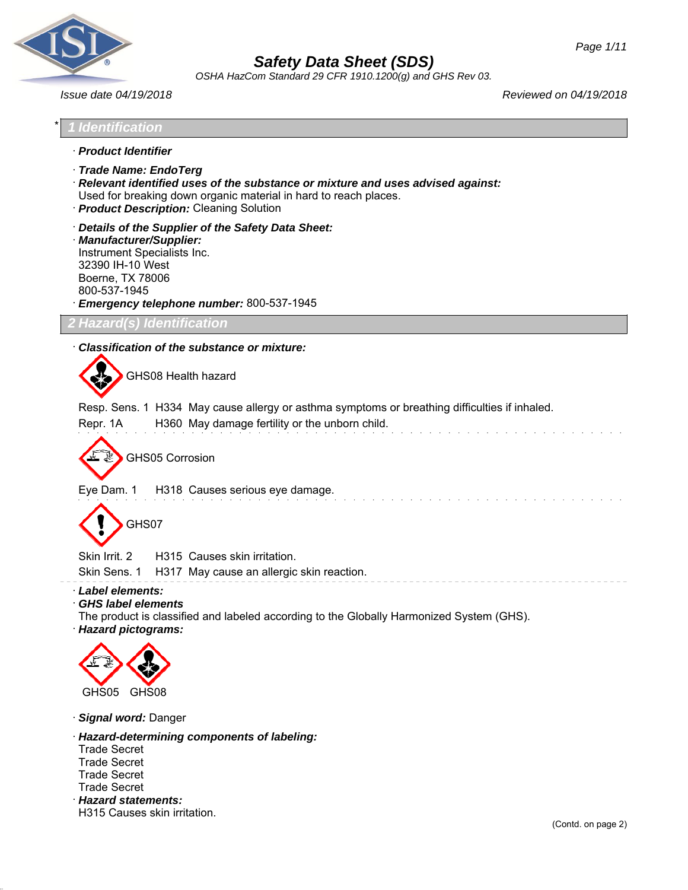

*OSHA HazCom Standard 29 CFR 1910.1200(g) and GHS Rev 03.*

*Issue date 04/19/2018 Reviewed on 04/19/2018*

\* *1 Identification* · *Product Identifier* · *Trade Name: EndoTerg* · *Relevant identified uses of the substance or mixture and uses advised against:* Used for breaking down organic material in hard to reach places. · *Product Description:* Cleaning Solution · *Details of the Supplier of the Safety Data Sheet:* · *Manufacturer/Supplier:* Instrument Specialists Inc. 32390 IH-10 West Boerne, TX 78006 800-537-1945 · *Emergency telephone number:* 800-537-1945 *2 Hazard(s) Identification* · *Classification of the substance or mixture:* GHS08 Health hazard Resp. Sens. 1 H334 May cause allergy or asthma symptoms or breathing difficulties if inhaled. Repr. 1A H360 May damage fertility or the unborn child. GHS05 Corrosion Eye Dam. 1 H318 Causes serious eye damage. GHS07 Skin Irrit. 2 H315 Causes skin irritation. Skin Sens. 1 H317 May cause an allergic skin reaction. · *Label elements:* · *GHS label elements* The product is classified and labeled according to the Globally Harmonized System (GHS). · *Hazard pictograms:* GHS05 GHS08 · *Signal word:* Danger · *Hazard-determining components of labeling:* Trade Secret Trade Secret Trade Secret Trade Secret · *Hazard statements:* H315 Causes skin irritation. (Contd. on page 2)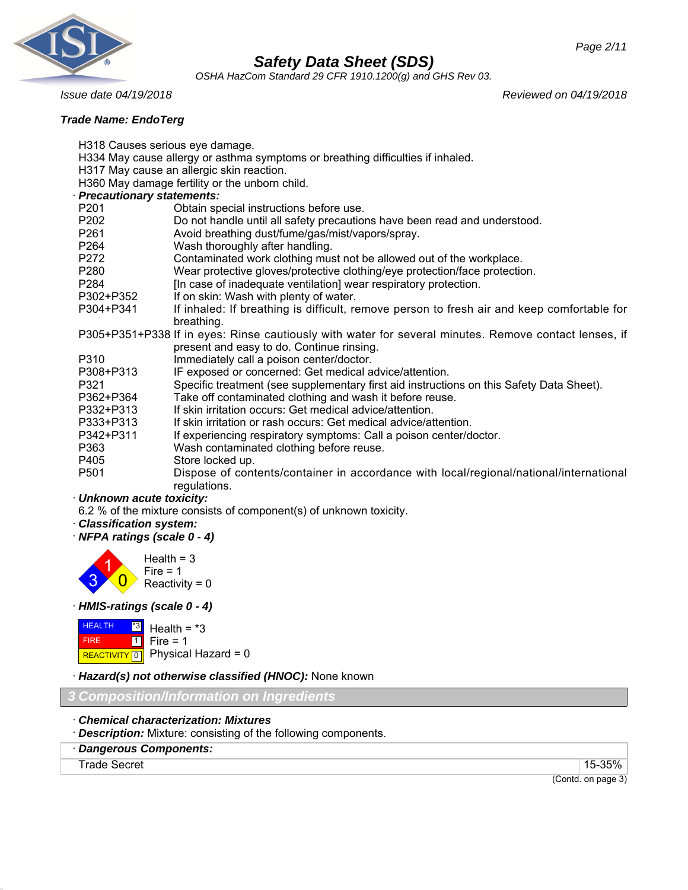

*OSHA HazCom Standard 29 CFR 1910.1200(g) and GHS Rev 03.*

# *Trade Name: EndoTerg*

*Issue date 04/19/2018 Reviewed on 04/19/2018*

| H318 Causes serious eye damage. |                                                                                                       |  |  |
|---------------------------------|-------------------------------------------------------------------------------------------------------|--|--|
|                                 | H334 May cause allergy or asthma symptoms or breathing difficulties if inhaled.                       |  |  |
|                                 | H317 May cause an allergic skin reaction.                                                             |  |  |
|                                 | H360 May damage fertility or the unborn child.                                                        |  |  |
| Precautionary statements:       |                                                                                                       |  |  |
| P201                            | Obtain special instructions before use.                                                               |  |  |
| P202                            | Do not handle until all safety precautions have been read and understood.                             |  |  |
| P261                            | Avoid breathing dust/fume/gas/mist/vapors/spray.                                                      |  |  |
| P264                            | Wash thoroughly after handling.                                                                       |  |  |
| P272                            | Contaminated work clothing must not be allowed out of the workplace.                                  |  |  |
| P280                            | Wear protective gloves/protective clothing/eye protection/face protection.                            |  |  |
| P284                            | [In case of inadequate ventilation] wear respiratory protection.                                      |  |  |
| P302+P352                       | If on skin: Wash with plenty of water.                                                                |  |  |
| P304+P341                       | If inhaled: If breathing is difficult, remove person to fresh air and keep comfortable for            |  |  |
|                                 | breathing.                                                                                            |  |  |
|                                 | P305+P351+P338 If in eyes: Rinse cautiously with water for several minutes. Remove contact lenses, if |  |  |
|                                 | present and easy to do. Continue rinsing.                                                             |  |  |
| P310                            | Immediately call a poison center/doctor.                                                              |  |  |
| P308+P313                       | IF exposed or concerned: Get medical advice/attention.                                                |  |  |
| P321                            | Specific treatment (see supplementary first aid instructions on this Safety Data Sheet).              |  |  |
| P362+P364                       | Take off contaminated clothing and wash it before reuse.                                              |  |  |
| P332+P313                       | If skin irritation occurs: Get medical advice/attention.                                              |  |  |
| P333+P313                       | If skin irritation or rash occurs: Get medical advice/attention.                                      |  |  |
| P342+P311                       | If experiencing respiratory symptoms: Call a poison center/doctor.                                    |  |  |
| P363                            | Wash contaminated clothing before reuse.                                                              |  |  |
| P405                            | Store locked up.                                                                                      |  |  |
| P <sub>501</sub>                | Dispose of contents/container in accordance with local/regional/national/international                |  |  |
|                                 | regulations.                                                                                          |  |  |
| · Unknown acute toxicity:       |                                                                                                       |  |  |
|                                 | $6.9.01$ of the mintume consiste of companion $(2.2.01)$ of unlinearing topicity                      |  |  |

6.2 % of the mixture consists of component(s) of unknown toxicity.

- · *Classification system:*
- · *NFPA ratings (scale 0 4)*



· *HMIS-ratings (scale 0 - 4)*



· *Hazard(s) not otherwise classified (HNOC):* None known

*3 Composition/Information on Ingredients*

- · *Chemical characterization: Mixtures*
- · *Description:* Mixture: consisting of the following components.
- · *Dangerous Components:*

Trade Secret 15-35%

(Contd. on page 3)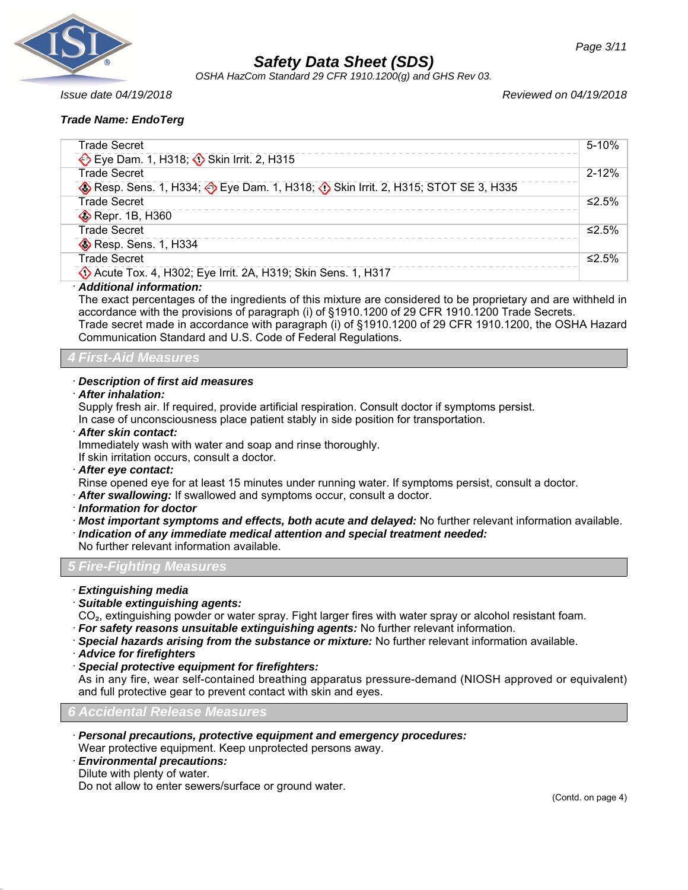

*OSHA HazCom Standard 29 CFR 1910.1200(g) and GHS Rev 03.*

*Issue date 04/19/2018 Reviewed on 04/19/2018*

# *Trade Name: EndoTerg*

| <b>Trade Secret</b>                                                           | 5-10%     |
|-------------------------------------------------------------------------------|-----------|
| Eye Dam. 1, H318; Skin Irrit. 2, H315                                         |           |
| <b>Trade Secret</b>                                                           | $2 - 12%$ |
| Resp. Sens. 1, H334; Eye Dam. 1, H318; O Skin Irrit. 2, H315; STOT SE 3, H335 |           |
| <b>Trade Secret</b>                                                           | ≤2.5%     |
| Repr. 1B, H360                                                                |           |
| <b>Trade Secret</b>                                                           | ≤2.5%     |
| Resp. Sens. 1, H334                                                           |           |
| <b>Trade Secret</b>                                                           | ≤2.5%     |
| Acute Tox. 4, H302; Eye Irrit. 2A, H319; Skin Sens. 1, H317                   |           |
|                                                                               |           |

# · *Additional information:*

The exact percentages of the ingredients of this mixture are considered to be proprietary and are withheld in accordance with the provisions of paragraph (i) of §1910.1200 of 29 CFR 1910.1200 Trade Secrets. Trade secret made in accordance with paragraph (i) of §1910.1200 of 29 CFR 1910.1200, the OSHA Hazard Communication Standard and U.S. Code of Federal Regulations.

*4 First-Aid Measures*

#### · *Description of first aid measures*

· *After inhalation:*

Supply fresh air. If required, provide artificial respiration. Consult doctor if symptoms persist.

In case of unconsciousness place patient stably in side position for transportation.

· *After skin contact:*

Immediately wash with water and soap and rinse thoroughly.

If skin irritation occurs, consult a doctor.

· *After eye contact:*

Rinse opened eye for at least 15 minutes under running water. If symptoms persist, consult a doctor.

· *After swallowing:* If swallowed and symptoms occur, consult a doctor.

- · *Information for doctor*
- · *Most important symptoms and effects, both acute and delayed:* No further relevant information available.

· *Indication of any immediate medical attention and special treatment needed:*

No further relevant information available.

# *5 Fire-Fighting Measures*

- · *Extinguishing media*
- · *Suitable extinguishing agents:*

CO₂, extinguishing powder or water spray. Fight larger fires with water spray or alcohol resistant foam. · *For safety reasons unsuitable extinguishing agents:* No further relevant information.

- 
- · *Special hazards arising from the substance or mixture:* No further relevant information available.
- · *Advice for firefighters*
- · *Special protective equipment for firefighters:*

As in any fire, wear self-contained breathing apparatus pressure-demand (NIOSH approved or equivalent) and full protective gear to prevent contact with skin and eyes.

*6 Accidental Release Measures*

· *Personal precautions, protective equipment and emergency procedures:*

Wear protective equipment. Keep unprotected persons away.

- · *Environmental precautions:*
- Dilute with plenty of water.

Do not allow to enter sewers/surface or ground water.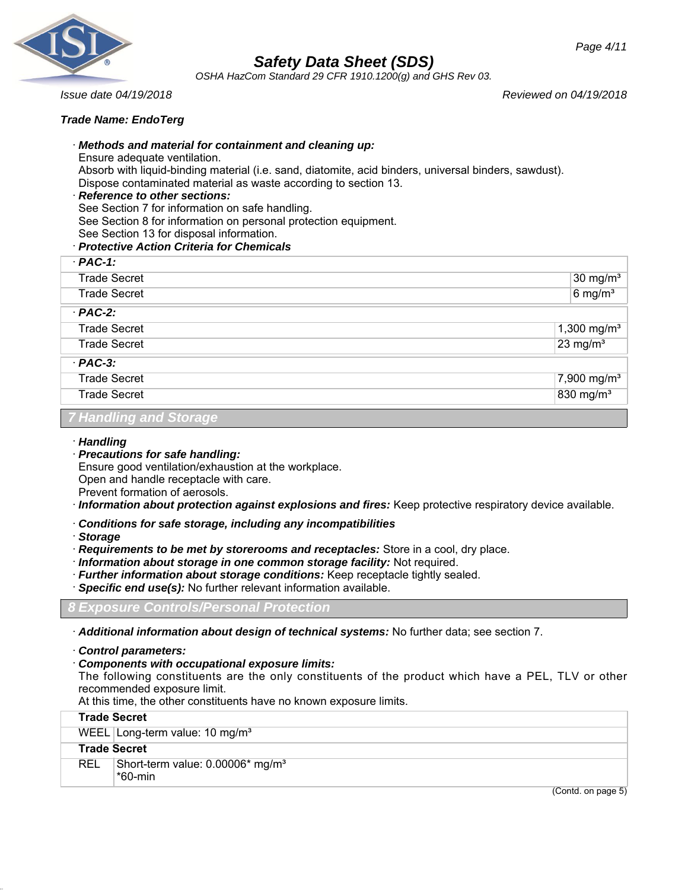

*OSHA HazCom Standard 29 CFR 1910.1200(g) and GHS Rev 03.*

*Issue date 04/19/2018 Reviewed on 04/19/2018*

## *Trade Name: EndoTerg*

## · *Methods and material for containment and cleaning up:*

Ensure adequate ventilation.

Absorb with liquid-binding material (i.e. sand, diatomite, acid binders, universal binders, sawdust). Dispose contaminated material as waste according to section 13.

#### · *Reference to other sections:*

See Section 7 for information on safe handling.

See Section 8 for information on personal protection equipment.

See Section 13 for disposal information.

## · *Protective Action Criteria for Chemicals*

| $·$ PAC-1:          |                         |                       |
|---------------------|-------------------------|-----------------------|
| <b>Trade Secret</b> |                         | $30 \text{ mg/m}^3$   |
| <b>Trade Secret</b> |                         | $6$ mg/m <sup>3</sup> |
| $·$ PAC-2:          |                         |                       |
| <b>Trade Secret</b> | 1,300 mg/m <sup>3</sup> |                       |
| <b>Trade Secret</b> | $23$ mg/m <sup>3</sup>  |                       |
| $·$ PAC-3:          |                         |                       |
| <b>Trade Secret</b> | 7,900 mg/m <sup>3</sup> |                       |
| <b>Trade Secret</b> | 830 mg/m <sup>3</sup>   |                       |

# *7 Handling and Storage*

#### · *Handling*

· *Precautions for safe handling:* Ensure good ventilation/exhaustion at the workplace. Open and handle receptacle with care.

Prevent formation of aerosols.

- · *Information about protection against explosions and fires:* Keep protective respiratory device available.
- · *Conditions for safe storage, including any incompatibilities*
- · *Storage*
- · *Requirements to be met by storerooms and receptacles:* Store in a cool, dry place.

· *Information about storage in one common storage facility:* Not required.

- · *Further information about storage conditions:* Keep receptacle tightly sealed.
- · *Specific end use(s):* No further relevant information available.

# *8 Exposure Controls/Personal Protection*

· *Additional information about design of technical systems:* No further data; see section 7.

· *Control parameters:*

# · *Components with occupational exposure limits:*

The following constituents are the only constituents of the product which have a PEL, TLV or other recommended exposure limit.

At this time, the other constituents have no known exposure limits.

|            | <b>Trade Secret</b>                                     |
|------------|---------------------------------------------------------|
|            | WEEL Long-term value: 10 mg/m <sup>3</sup>              |
|            | <b>Trade Secret</b>                                     |
| <b>REL</b> | Short-term value: 0.00006* mg/m <sup>3</sup><br>*60-min |

(Contd. on page 5)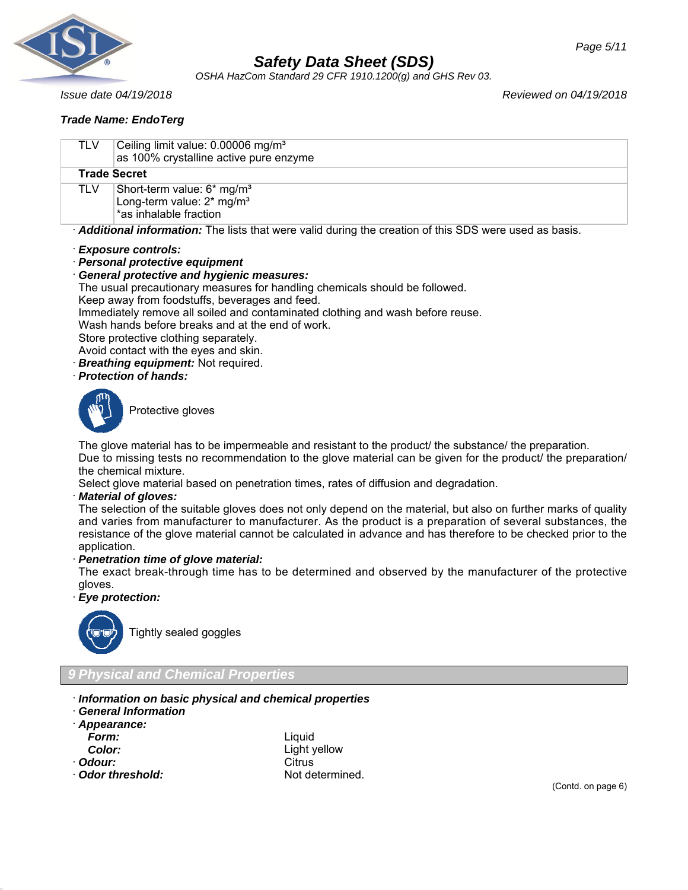

*OSHA HazCom Standard 29 CFR 1910.1200(g) and GHS Rev 03.*

## *Trade Name: EndoTerg*

*Issue date 04/19/2018 Reviewed on 04/19/2018*

| TLV | Ceiling limit value: 0.00006 mg/m <sup>3</sup><br>as 100% crystalline active pure enzyme                                                                                                   |
|-----|--------------------------------------------------------------------------------------------------------------------------------------------------------------------------------------------|
|     | <b>Trade Secret</b>                                                                                                                                                                        |
| TLV | Short-term value: 6* mg/m <sup>3</sup><br>Long-term value: 2* mg/m <sup>3</sup><br>*as inhalable fraction                                                                                  |
|     | Additional information: The lists that were valid during the creation of this SDS were used as basis.                                                                                      |
|     | · Exposure controls:<br>· Personal protective equipment<br><b>General protective and hygienic measures:</b><br>The usual precautionary measures for handling chemicals should be followed. |

Keep away from foodstuffs, beverages and feed.

Immediately remove all soiled and contaminated clothing and wash before reuse.

Wash hands before breaks and at the end of work.

Store protective clothing separately.

Avoid contact with the eyes and skin.

- · *Breathing equipment:* Not required.
- · *Protection of hands:*



Protective gloves

The glove material has to be impermeable and resistant to the product/ the substance/ the preparation. Due to missing tests no recommendation to the glove material can be given for the product/ the preparation/ the chemical mixture.

Select glove material based on penetration times, rates of diffusion and degradation.

#### · *Material of gloves:*

The selection of the suitable gloves does not only depend on the material, but also on further marks of quality and varies from manufacturer to manufacturer. As the product is a preparation of several substances, the resistance of the glove material cannot be calculated in advance and has therefore to be checked prior to the application.

#### · *Penetration time of glove material:*

The exact break-through time has to be determined and observed by the manufacturer of the protective gloves.

#### · *Eye protection:*



Tightly sealed goggles

# *9 Physical and Chemical Properties*

- · *Information on basic physical and chemical properties*
- · *General Information*
- · *Appearance:*

- 
- 
- · **Odor threshold:** Not determined.

*Form:* Liquid Light yellow · **Odour:** Citrus

(Contd. on page 6)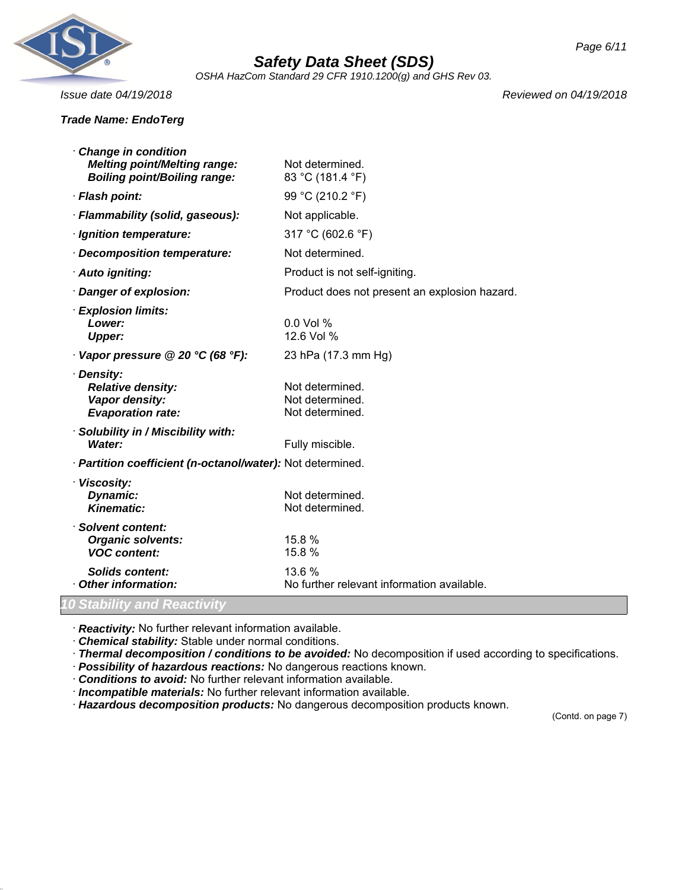

*OSHA HazCom Standard 29 CFR 1910.1200(g) and GHS Rev 03.*

#### *Trade Name: EndoTerg*

*Issue date 04/19/2018 Reviewed on 04/19/2018*

| <b>Change in condition</b>                                 |                                               |
|------------------------------------------------------------|-----------------------------------------------|
| <b>Melting point/Melting range:</b>                        | Not determined.                               |
| <b>Boiling point/Boiling range:</b>                        | 83 °C (181.4 °F)                              |
| · Flash point:                                             | 99 °C (210.2 °F)                              |
| · Flammability (solid, gaseous):                           | Not applicable.                               |
| · Ignition temperature:                                    | 317 °C (602.6 °F)                             |
| Decomposition temperature:                                 | Not determined.                               |
| · Auto igniting:                                           | Product is not self-igniting.                 |
| Danger of explosion:                                       | Product does not present an explosion hazard. |
| <b>Explosion limits:</b>                                   |                                               |
| Lower:                                                     | $0.0$ Vol %<br>12.6 Vol %                     |
| <b>Upper:</b>                                              |                                               |
| $\cdot$ Vapor pressure @ 20 °C (68 °F):                    | 23 hPa (17.3 mm Hg)                           |
| · Density:                                                 |                                               |
| <b>Relative density:</b><br>Vapor density:                 | Not determined.<br>Not determined.            |
| <b>Evaporation rate:</b>                                   | Not determined.                               |
| · Solubility in / Miscibility with:                        |                                               |
| Water:                                                     | Fully miscible.                               |
| · Partition coefficient (n-octanol/water): Not determined. |                                               |
| · Viscosity:                                               |                                               |
| Dynamic:                                                   | Not determined.                               |
| <b>Kinematic:</b>                                          | Not determined.                               |
| · Solvent content:                                         | 15.8 %                                        |
| <b>Organic solvents:</b><br><b>VOC content:</b>            | 15.8 %                                        |
| <b>Solids content:</b>                                     | 13.6 %                                        |
| Other information:                                         | No further relevant information available.    |
| 10 Stability and Reactivity                                |                                               |

· *Reactivity:* No further relevant information available.

· *Chemical stability:* Stable under normal conditions.

· *Thermal decomposition / conditions to be avoided:* No decomposition if used according to specifications.

· *Possibility of hazardous reactions:* No dangerous reactions known.

· *Conditions to avoid:* No further relevant information available.

· *Incompatible materials:* No further relevant information available.

· *Hazardous decomposition products:* No dangerous decomposition products known.

(Contd. on page 7)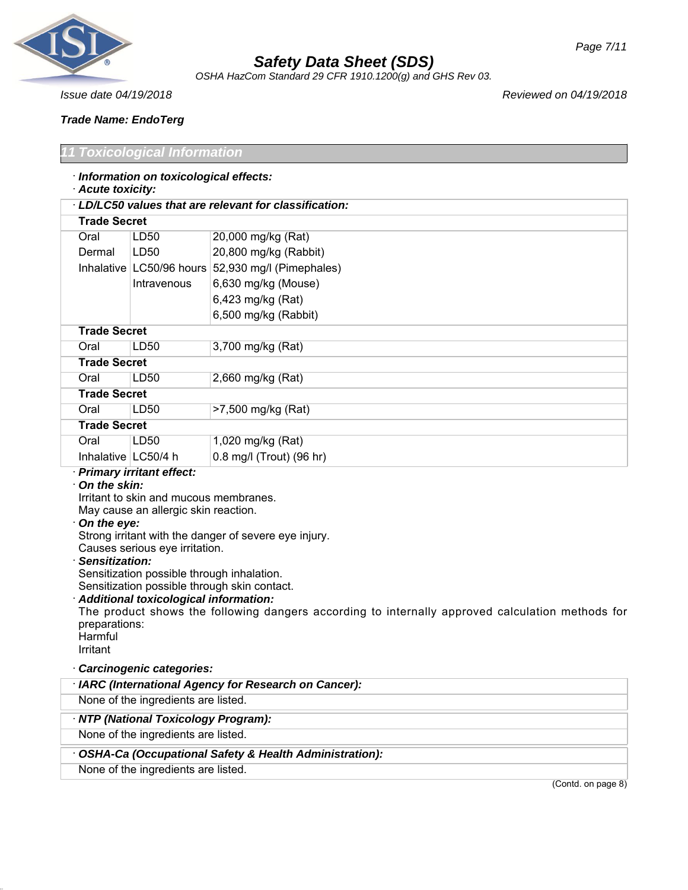

*OSHA HazCom Standard 29 CFR 1910.1200(g) and GHS Rev 03.*

*Issue date 04/19/2018 Reviewed on 04/19/2018*

*Trade Name: EndoTerg*

# *Toxicological Information*

|  |  |  | · Information on toxicological effects: |  |
|--|--|--|-----------------------------------------|--|
|--|--|--|-----------------------------------------|--|

# · *Acute toxicity:*

| LD/LC50 values that are relevant for classification: |                          |                          |  |
|------------------------------------------------------|--------------------------|--------------------------|--|
|                                                      | <b>Trade Secret</b>      |                          |  |
| Oral                                                 | LD <sub>50</sub>         | 20,000 mg/kg (Rat)       |  |
| Dermal                                               | LD <sub>50</sub>         | 20,800 mg/kg (Rabbit)    |  |
|                                                      | Inhalative LC50/96 hours | 52,930 mg/l (Pimephales) |  |
|                                                      | Intravenous              | 6,630 mg/kg (Mouse)      |  |
|                                                      |                          | 6,423 mg/kg (Rat)        |  |
|                                                      |                          | 6,500 mg/kg (Rabbit)     |  |
| <b>Trade Secret</b>                                  |                          |                          |  |
| Oral                                                 | LD <sub>50</sub>         | 3,700 mg/kg (Rat)        |  |
| <b>Trade Secret</b>                                  |                          |                          |  |
| Oral                                                 | LD <sub>50</sub>         | 2,660 mg/kg (Rat)        |  |
| <b>Trade Secret</b>                                  |                          |                          |  |
| Oral                                                 | LD50                     | >7,500 mg/kg (Rat)       |  |
| <b>Trade Secret</b>                                  |                          |                          |  |
| Oral                                                 | LD <sub>50</sub>         | 1,020 mg/kg (Rat)        |  |
| Inhalative   LC50/4 h                                |                          | 0.8 mg/l (Trout) (96 hr) |  |

# · *Primary irritant effect:*

#### · *On the skin:*

Irritant to skin and mucous membranes. May cause an allergic skin reaction.

#### · *On the eye:*

Strong irritant with the danger of severe eye injury.

Causes serious eye irritation.

#### · *Sensitization:*

Sensitization possible through inhalation.

Sensitization possible through skin contact.

# · *Additional toxicological information:*

The product shows the following dangers according to internally approved calculation methods for preparations:

**Harmful** Irritant

# · *Carcinogenic categories:*

| · IARC (International Agency for Research on Cancer):  |                    |
|--------------------------------------------------------|--------------------|
| None of the ingredients are listed.                    |                    |
| · NTP (National Toxicology Program):                   |                    |
| None of the ingredients are listed.                    |                    |
| OSHA-Ca (Occupational Safety & Health Administration): |                    |
| None of the ingredients are listed.                    |                    |
|                                                        | (Contd. on page 8) |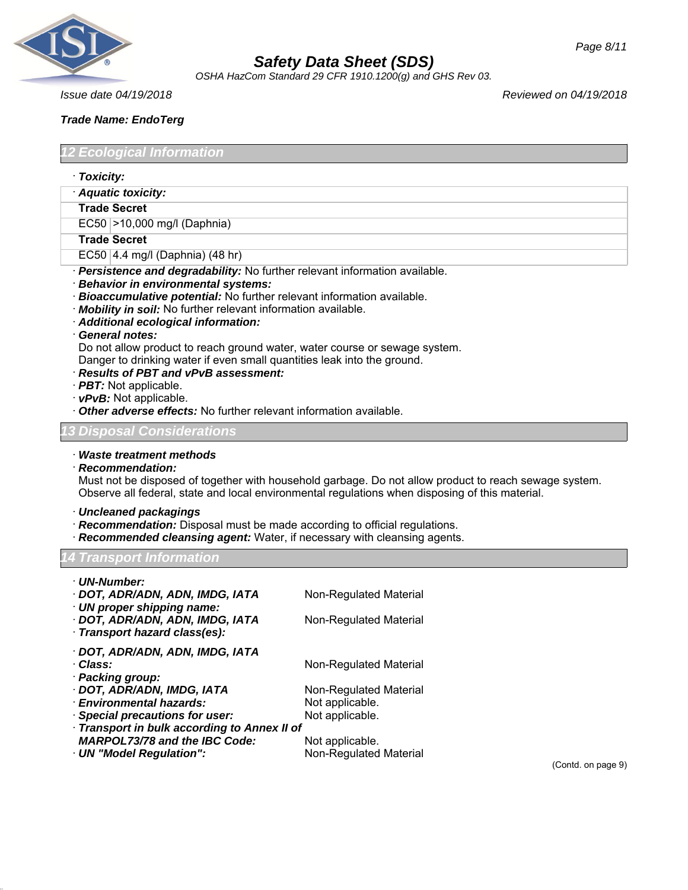

*OSHA HazCom Standard 29 CFR 1910.1200(g) and GHS Rev 03.*

*Issue date 04/19/2018 Reviewed on 04/19/2018*

## *Trade Name: EndoTerg*

*12 Ecological Information*

- · *Toxicity:*
- · *Aquatic toxicity:*

#### **Trade Secret**

EC50 >10,000 mg/l (Daphnia)

#### **Trade Secret**

- EC50 4.4 mg/l (Daphnia) (48 hr)
- · *Persistence and degradability:* No further relevant information available.
- · *Behavior in environmental systems:*
- · *Bioaccumulative potential:* No further relevant information available.
- · *Mobility in soil:* No further relevant information available.
- · *Additional ecological information:*

#### · *General notes:*

Do not allow product to reach ground water, water course or sewage system. Danger to drinking water if even small quantities leak into the ground.

- · *Results of PBT and vPvB assessment:*
- · *PBT:* Not applicable.
- · *vPvB:* Not applicable.
- · *Other adverse effects:* No further relevant information available.

#### *13 Disposal Considerations*

· *Waste treatment methods*

#### · *Recommendation:*

Must not be disposed of together with household garbage. Do not allow product to reach sewage system. Observe all federal, state and local environmental regulations when disposing of this material.

- · *Uncleaned packagings*
- · *Recommendation:* Disposal must be made according to official regulations.
- **Recommended cleansing agent:** Water, if necessary with cleansing agents.

# *14 Transport Information*

| · UN-Number:                                 |                        |
|----------------------------------------------|------------------------|
| · DOT, ADR/ADN, ADN, IMDG, IATA              | Non-Regulated Material |
| · UN proper shipping name:                   |                        |
| · DOT, ADR/ADN, ADN, IMDG, IATA              | Non-Regulated Material |
| · Transport hazard class(es):                |                        |
| · DOT, ADR/ADN, ADN, IMDG, IATA              |                        |
| · Class:                                     | Non-Regulated Material |
| · Packing group:                             |                        |
| · DOT, ADR/ADN, IMDG, IATA                   | Non-Regulated Material |
| · Environmental hazards:                     | Not applicable.        |
| · Special precautions for user:              | Not applicable.        |
| · Transport in bulk according to Annex II of |                        |
| <b>MARPOL73/78 and the IBC Code:</b>         | Not applicable.        |

· **UN "Model Regulation":** Non-Regulated Material

(Contd. on page 9)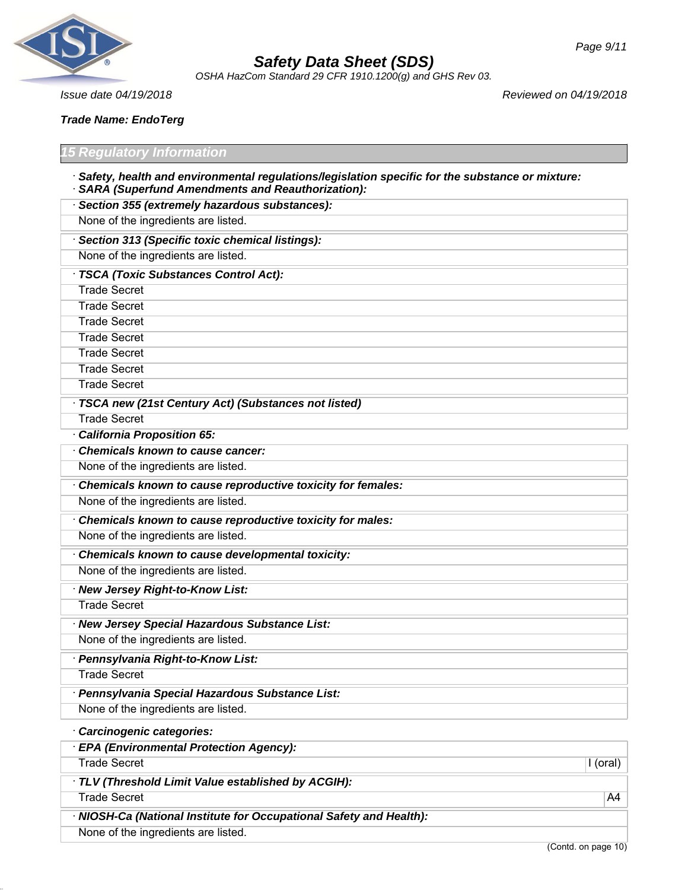

*OSHA HazCom Standard 29 CFR 1910.1200(g) and GHS Rev 03.*

*Issue date 04/19/2018 Reviewed on 04/19/2018*

*Trade Name: EndoTerg*

#### *15 Regulatory Information*

- · *Safety, health and environmental regulations/legislation specific for the substance or mixture:* · *SARA (Superfund Amendments and Reauthorization):*
- · *Section 355 (extremely hazardous substances):* None of the ingredients are listed. · *Section 313 (Specific toxic chemical listings):* None of the ingredients are listed. · *TSCA (Toxic Substances Control Act):* Trade Secret Trade Secret Trade Secret Trade Secret Trade Secret Trade Secret Trade Secret · *TSCA new (21st Century Act) (Substances not listed)* Trade Secret · *California Proposition 65:* · *Chemicals known to cause cancer:* None of the ingredients are listed. · *Chemicals known to cause reproductive toxicity for females:* None of the ingredients are listed. · *Chemicals known to cause reproductive toxicity for males:* None of the ingredients are listed. · *Chemicals known to cause developmental toxicity:* None of the ingredients are listed. · *New Jersey Right-to-Know List:* Trade Secret · *New Jersey Special Hazardous Substance List:* None of the ingredients are listed. · *Pennsylvania Right-to-Know List:* Trade Secret · *Pennsylvania Special Hazardous Substance List:* None of the ingredients are listed. · *Carcinogenic categories:* · *EPA (Environmental Protection Agency):* Trade Secret **I** (oral) **I** (oral) · *TLV (Threshold Limit Value established by ACGIH):* Trade Secret A4
	- · *NIOSH-Ca (National Institute for Occupational Safety and Health):* None of the ingredients are listed.

(Contd. on page 10)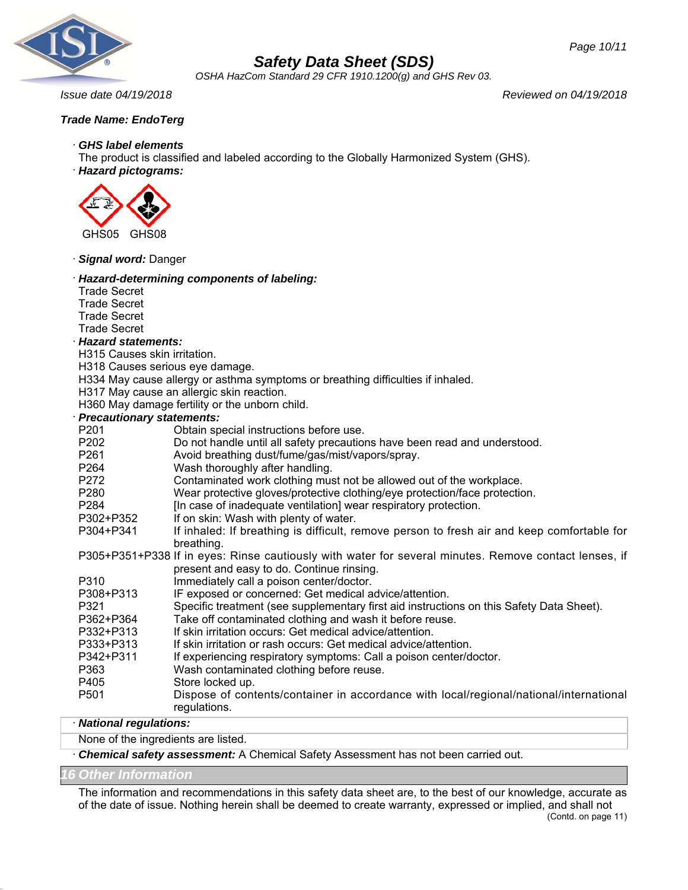

*OSHA HazCom Standard 29 CFR 1910.1200(g) and GHS Rev 03.*

*Issue date 04/19/2018 Reviewed on 04/19/2018*

*Page 10/11*

# *Trade Name: EndoTerg*

#### · *GHS label elements*

The product is classified and labeled according to the Globally Harmonized System (GHS).

· *Hazard pictograms:*



· *Signal word:* Danger

| signar nora: Dango                                                                                    |                                                                                                                                                    |
|-------------------------------------------------------------------------------------------------------|----------------------------------------------------------------------------------------------------------------------------------------------------|
| <b>Trade Secret</b>                                                                                   | Hazard-determining components of labeling:                                                                                                         |
| <b>Trade Secret</b>                                                                                   |                                                                                                                                                    |
| <b>Trade Secret</b><br><b>Trade Secret</b>                                                            |                                                                                                                                                    |
| <b>Hazard statements:</b>                                                                             |                                                                                                                                                    |
| H315 Causes skin irritation.                                                                          |                                                                                                                                                    |
| H318 Causes serious eye damage.                                                                       |                                                                                                                                                    |
|                                                                                                       | H334 May cause allergy or asthma symptoms or breathing difficulties if inhaled.                                                                    |
|                                                                                                       | H317 May cause an allergic skin reaction.                                                                                                          |
|                                                                                                       | H360 May damage fertility or the unborn child.                                                                                                     |
| <b>Precautionary statements:</b>                                                                      |                                                                                                                                                    |
| P201                                                                                                  | Obtain special instructions before use.                                                                                                            |
| P202                                                                                                  | Do not handle until all safety precautions have been read and understood.                                                                          |
| P261                                                                                                  | Avoid breathing dust/fume/gas/mist/vapors/spray.                                                                                                   |
| P264                                                                                                  | Wash thoroughly after handling.                                                                                                                    |
| P272                                                                                                  | Contaminated work clothing must not be allowed out of the workplace.                                                                               |
| P280                                                                                                  | Wear protective gloves/protective clothing/eye protection/face protection.                                                                         |
| P284                                                                                                  | [In case of inadequate ventilation] wear respiratory protection.                                                                                   |
| P302+P352                                                                                             | If on skin: Wash with plenty of water.                                                                                                             |
| P304+P341                                                                                             | If inhaled: If breathing is difficult, remove person to fresh air and keep comfortable for<br>breathing.                                           |
| P305+P351+P338 If in eyes: Rinse cautiously with water for several minutes. Remove contact lenses, if |                                                                                                                                                    |
| P310                                                                                                  | present and easy to do. Continue rinsing.                                                                                                          |
|                                                                                                       | Immediately call a poison center/doctor.                                                                                                           |
| P308+P313<br>P321                                                                                     | IF exposed or concerned: Get medical advice/attention.<br>Specific treatment (see supplementary first aid instructions on this Safety Data Sheet). |
| P362+P364                                                                                             | Take off contaminated clothing and wash it before reuse.                                                                                           |
| P332+P313                                                                                             | If skin irritation occurs: Get medical advice/attention.                                                                                           |
| P333+P313                                                                                             | If skin irritation or rash occurs: Get medical advice/attention.                                                                                   |
| P342+P311                                                                                             | If experiencing respiratory symptoms: Call a poison center/doctor.                                                                                 |
| P363                                                                                                  | Wash contaminated clothing before reuse.                                                                                                           |
| P405                                                                                                  | Store locked up.                                                                                                                                   |
| P501                                                                                                  | Dispose of contents/container in accordance with local/regional/national/international                                                             |
|                                                                                                       | regulations.                                                                                                                                       |

# · *National regulations:*

None of the ingredients are listed.

· *Chemical safety assessment:* A Chemical Safety Assessment has not been carried out.

#### *16 Other Information*

The information and recommendations in this safety data sheet are, to the best of our knowledge, accurate as of the date of issue. Nothing herein shall be deemed to create warranty, expressed or implied, and shall not